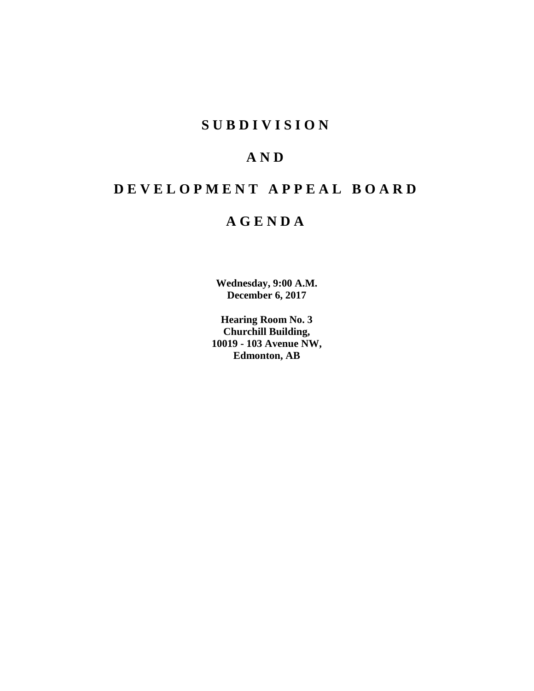## **SUBDIVISION**

## **AND**

# **DEVELOPMENT APPEAL BOARD**

## **AGENDA**

**Wednesday, 9:00 A.M. December 6, 2017**

**Hearing Room No. 3 Churchill Building, 10019 - 103 Avenue NW, Edmonton, AB**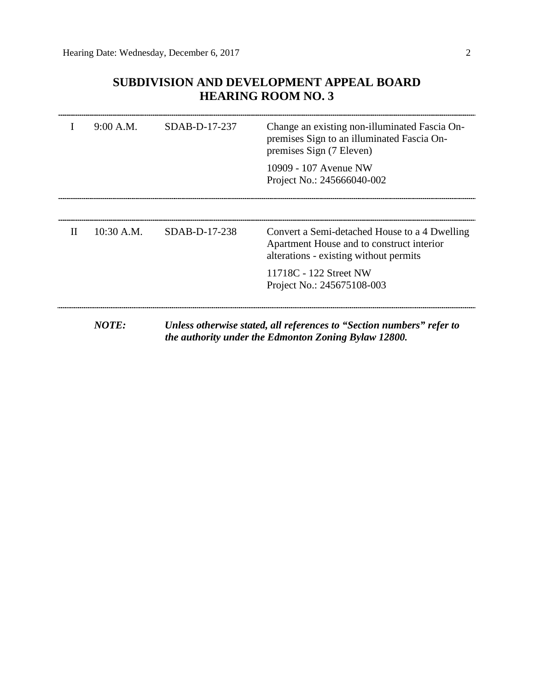## **SUBDIVISION AND DEVELOPMENT APPEAL BOARD HEARING ROOM NO. 3**

|              | 9:00 A.M.    | $SDAB-D-17-237$ | Change an existing non-illuminated Fascia On-<br>premises Sign to an illuminated Fascia On-<br>premises Sign (7 Eleven)<br>10909 - 107 Avenue NW<br>Project No.: 245666040-002 |
|--------------|--------------|-----------------|--------------------------------------------------------------------------------------------------------------------------------------------------------------------------------|
| $\mathbf{H}$ | $10:30$ A.M. | SDAB-D-17-238   | Convert a Semi-detached House to a 4 Dwelling<br>Apartment House and to construct interior<br>alterations - existing without permits                                           |
|              |              |                 | 11718C - 122 Street NW<br>Project No.: 245675108-003                                                                                                                           |
|              | <b>NOTE:</b> |                 | Unless otherwise stated, all references to "Section numbers" refer to<br>the authority under the Edmonton Zoning Bylaw 12800.                                                  |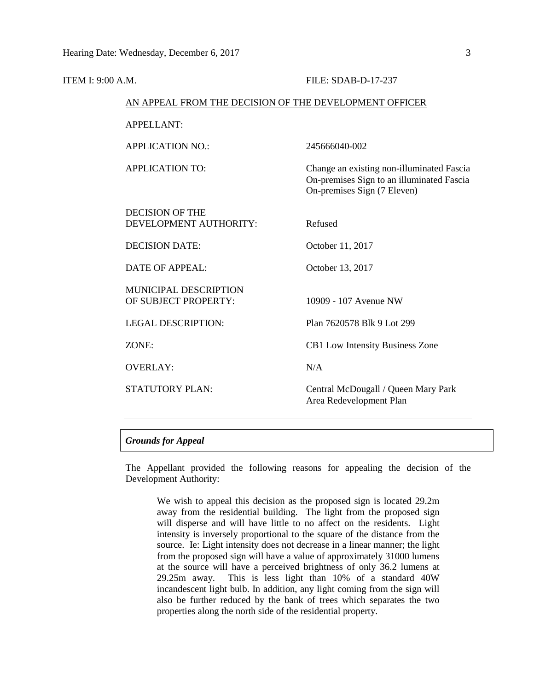|                   |                                                        | FILE: SDAB-D-17-237                                                                                                   |  |  |
|-------------------|--------------------------------------------------------|-----------------------------------------------------------------------------------------------------------------------|--|--|
| ITEM I: 9:00 A.M. | AN APPEAL FROM THE DECISION OF THE DEVELOPMENT OFFICER |                                                                                                                       |  |  |
|                   | <b>APPELLANT:</b>                                      |                                                                                                                       |  |  |
|                   | <b>APPLICATION NO.:</b>                                | 245666040-002                                                                                                         |  |  |
|                   | <b>APPLICATION TO:</b>                                 | Change an existing non-illuminated Fascia<br>On-premises Sign to an illuminated Fascia<br>On-premises Sign (7 Eleven) |  |  |
|                   | <b>DECISION OF THE</b><br>DEVELOPMENT AUTHORITY:       | Refused                                                                                                               |  |  |
|                   | <b>DECISION DATE:</b>                                  | October 11, 2017                                                                                                      |  |  |
|                   | <b>DATE OF APPEAL:</b>                                 | October 13, 2017                                                                                                      |  |  |
|                   | <b>MUNICIPAL DESCRIPTION</b><br>OF SUBJECT PROPERTY:   | 10909 - 107 Avenue NW                                                                                                 |  |  |
|                   | <b>LEGAL DESCRIPTION:</b>                              | Plan 7620578 Blk 9 Lot 299                                                                                            |  |  |
|                   | ZONE:                                                  | CB1 Low Intensity Business Zone                                                                                       |  |  |
|                   | <b>OVERLAY:</b>                                        | N/A                                                                                                                   |  |  |
|                   | <b>STATUTORY PLAN:</b>                                 | Central McDougall / Queen Mary Park<br>Area Redevelopment Plan                                                        |  |  |
|                   |                                                        |                                                                                                                       |  |  |

## *Grounds for Appeal*

The Appellant provided the following reasons for appealing the decision of the Development Authority:

We wish to appeal this decision as the proposed sign is located 29.2m away from the residential building. The light from the proposed sign will disperse and will have little to no affect on the residents. Light intensity is inversely proportional to the square of the distance from the source. Ie: Light intensity does not decrease in a linear manner; the light from the proposed sign will have a value of approximately 31000 lumens at the source will have a perceived brightness of only 36.2 lumens at 29.25m away. This is less light than 10% of a standard 40W incandescent light bulb. In addition, any light coming from the sign will also be further reduced by the bank of trees which separates the two properties along the north side of the residential property.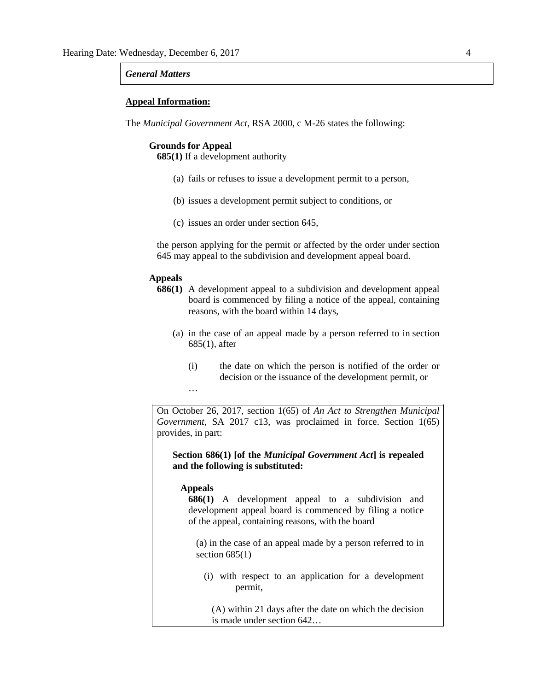#### *General Matters*

#### **Appeal Information:**

The *Municipal Government Act*, RSA 2000, c M-26 states the following:

#### **Grounds for Appeal**

**685(1)** If a development authority

- (a) fails or refuses to issue a development permit to a person,
- (b) issues a development permit subject to conditions, or
- (c) issues an order under section 645,

the person applying for the permit or affected by the order under section 645 may appeal to the subdivision and development appeal board.

## **Appeals**

- **686(1)** A development appeal to a subdivision and development appeal board is commenced by filing a notice of the appeal, containing reasons, with the board within 14 days,
	- (a) in the case of an appeal made by a person referred to in section 685(1), after
		- (i) the date on which the person is notified of the order or decision or the issuance of the development permit, or …

On October 26, 2017, section 1(65) of *An Act to Strengthen Municipal Government*, SA 2017 c13, was proclaimed in force. Section 1(65) provides, in part:

**Section 686(1) [of the** *Municipal Government Act***] is repealed and the following is substituted:** 

## **Appeals**

**686(1)** A development appeal to a subdivision and development appeal board is commenced by filing a notice of the appeal, containing reasons, with the board

(a) in the case of an appeal made by a person referred to in section  $685(1)$ 

(i) with respect to an application for a development permit,

(A) within 21 days after the date on which the decision is made under section 642…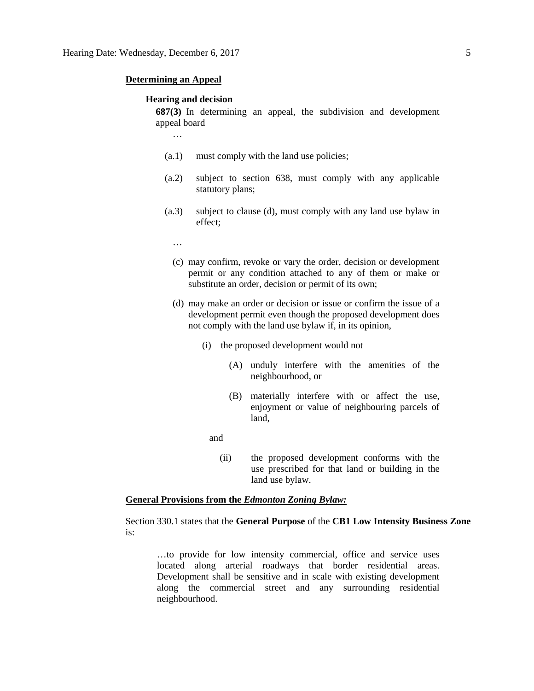#### **Determining an Appeal**

…

#### **Hearing and decision**

**687(3)** In determining an appeal, the subdivision and development appeal board

- (a.1) must comply with the land use policies;
- (a.2) subject to section 638, must comply with any applicable statutory plans;
- (a.3) subject to clause (d), must comply with any land use bylaw in effect;
	- …
	- (c) may confirm, revoke or vary the order, decision or development permit or any condition attached to any of them or make or substitute an order, decision or permit of its own;
	- (d) may make an order or decision or issue or confirm the issue of a development permit even though the proposed development does not comply with the land use bylaw if, in its opinion,
		- (i) the proposed development would not
			- (A) unduly interfere with the amenities of the neighbourhood, or
			- (B) materially interfere with or affect the use, enjoyment or value of neighbouring parcels of land,

and

(ii) the proposed development conforms with the use prescribed for that land or building in the land use bylaw.

## **General Provisions from the** *Edmonton Zoning Bylaw:*

Section 330.1 states that the **General Purpose** of the **CB1 Low Intensity Business Zone** is:

…to provide for low intensity commercial, office and service uses located along arterial roadways that border residential areas. Development shall be sensitive and in scale with existing development along the commercial street and any surrounding residential neighbourhood.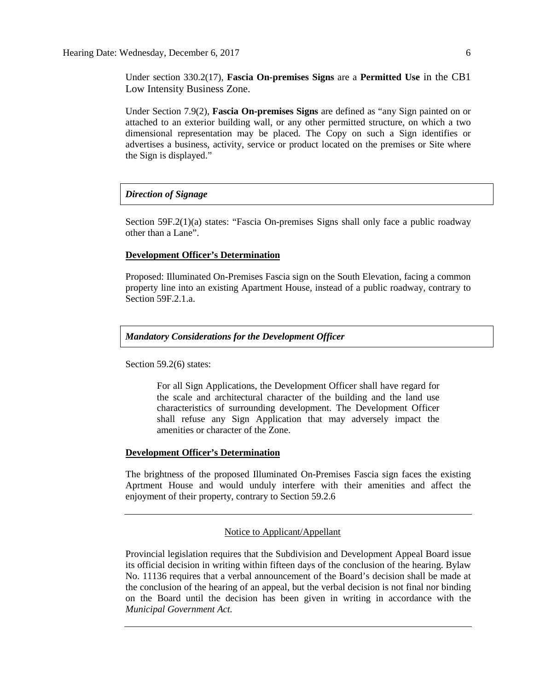Under section 330.2(17), **Fascia On-premises Signs** are a **Permitted Use** in the CB1 Low Intensity Business Zone.

Under Section 7.9(2), **Fascia On-premises Signs** are defined as "any Sign painted on or attached to an exterior building wall, or any other permitted structure, on which a two dimensional representation may be placed. The Copy on such a Sign identifies or advertises a business, activity, service or product located on the premises or Site where the Sign is displayed."

## *Direction of Signage*

Section 59F.2(1)(a) states: "Fascia On-premises Signs shall only face a public roadway other than a Lane".

#### **Development Officer's Determination**

Proposed: Illuminated On-Premises Fascia sign on the South Elevation, facing a common property line into an existing Apartment House, instead of a public roadway, contrary to Section 59F.2.1.a.

## *Mandatory Considerations for the Development Officer*

Section 59.2(6) states:

For all Sign Applications, the Development Officer shall have regard for the scale and architectural character of the building and the land use characteristics of surrounding development. The Development Officer shall refuse any Sign Application that may adversely impact the amenities or character of the Zone.

## **Development Officer's Determination**

The brightness of the proposed Illuminated On-Premises Fascia sign faces the existing Aprtment House and would unduly interfere with their amenities and affect the enjoyment of their property, contrary to Section 59.2.6

## Notice to Applicant/Appellant

Provincial legislation requires that the Subdivision and Development Appeal Board issue its official decision in writing within fifteen days of the conclusion of the hearing. Bylaw No. 11136 requires that a verbal announcement of the Board's decision shall be made at the conclusion of the hearing of an appeal, but the verbal decision is not final nor binding on the Board until the decision has been given in writing in accordance with the *Municipal Government Act.*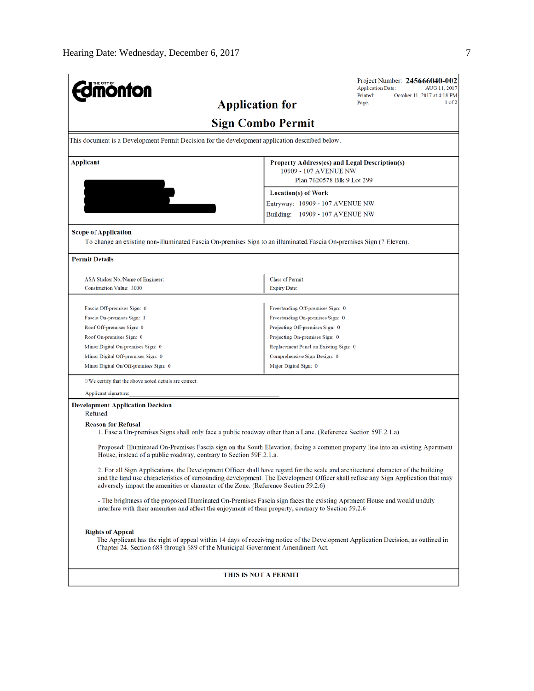| <b>monton</b>                                                                                                                                                                                                                                                                                                                                               | Project Number: 245666040-002<br><b>Application Date:</b><br>AUG 11, 2017<br>Printed:<br>October 11, 2017 at 4:18 PM             |  |  |  |  |
|-------------------------------------------------------------------------------------------------------------------------------------------------------------------------------------------------------------------------------------------------------------------------------------------------------------------------------------------------------------|----------------------------------------------------------------------------------------------------------------------------------|--|--|--|--|
|                                                                                                                                                                                                                                                                                                                                                             | $1$ of $2$<br>Page:<br><b>Application for</b>                                                                                    |  |  |  |  |
| <b>Sign Combo Permit</b>                                                                                                                                                                                                                                                                                                                                    |                                                                                                                                  |  |  |  |  |
| This document is a Development Permit Decision for the development application described below.                                                                                                                                                                                                                                                             |                                                                                                                                  |  |  |  |  |
| Applicant                                                                                                                                                                                                                                                                                                                                                   | Property Address(es) and Legal Description(s)<br>10909 - 107 AVENUE NW                                                           |  |  |  |  |
|                                                                                                                                                                                                                                                                                                                                                             | Plan 7620578 Blk 9 Lot 299<br><b>Location(s) of Work</b>                                                                         |  |  |  |  |
|                                                                                                                                                                                                                                                                                                                                                             |                                                                                                                                  |  |  |  |  |
|                                                                                                                                                                                                                                                                                                                                                             | Entryway: 10909 - 107 AVENUE NW                                                                                                  |  |  |  |  |
|                                                                                                                                                                                                                                                                                                                                                             | Building: 10909 - 107 AVENUE NW                                                                                                  |  |  |  |  |
| <b>Scope of Application</b>                                                                                                                                                                                                                                                                                                                                 |                                                                                                                                  |  |  |  |  |
|                                                                                                                                                                                                                                                                                                                                                             | To change an existing non-illuminated Fascia On-premises Sign to an illuminated Fascia On-premises Sign (7 Eleven).              |  |  |  |  |
| <b>Permit Details</b>                                                                                                                                                                                                                                                                                                                                       |                                                                                                                                  |  |  |  |  |
| ASA Sticker No./Name of Engineer:                                                                                                                                                                                                                                                                                                                           | Class of Permit:                                                                                                                 |  |  |  |  |
| <b>Construction Value: 3000</b>                                                                                                                                                                                                                                                                                                                             | <b>Expiry Date:</b>                                                                                                              |  |  |  |  |
|                                                                                                                                                                                                                                                                                                                                                             |                                                                                                                                  |  |  |  |  |
| Fascia Off-premises Sign: 0                                                                                                                                                                                                                                                                                                                                 | Freestanding Off-premises Sign: 0                                                                                                |  |  |  |  |
| Fascia On-premises Sign: 1                                                                                                                                                                                                                                                                                                                                  | Freestanding On-premises Sign: 0                                                                                                 |  |  |  |  |
| Roof Off-premises Sign: 0                                                                                                                                                                                                                                                                                                                                   | Projecting Off-premises Sign: 0                                                                                                  |  |  |  |  |
| Roof On-premises Sign: 0                                                                                                                                                                                                                                                                                                                                    | Projecting On-premises Sign: 0                                                                                                   |  |  |  |  |
| Minor Digital On-premises Sign: 0                                                                                                                                                                                                                                                                                                                           | Replacement Panel on Existing Sign: 0                                                                                            |  |  |  |  |
| Minor Digital Off-premises Sign: 0                                                                                                                                                                                                                                                                                                                          | Comprehensive Sign Design: 0                                                                                                     |  |  |  |  |
| Minor Digital On/Off-premises Sign: 0                                                                                                                                                                                                                                                                                                                       | Major Digital Sign: 0                                                                                                            |  |  |  |  |
| I/We certify that the above noted details are correct.                                                                                                                                                                                                                                                                                                      |                                                                                                                                  |  |  |  |  |
| Applicant signature:                                                                                                                                                                                                                                                                                                                                        |                                                                                                                                  |  |  |  |  |
| <b>Development Application Decision</b><br>Refused                                                                                                                                                                                                                                                                                                          |                                                                                                                                  |  |  |  |  |
| <b>Reason for Refusal</b>                                                                                                                                                                                                                                                                                                                                   | 1. Fascia On-premises Signs shall only face a public roadway other than a Lane. (Reference Section 59F.2.1.a)                    |  |  |  |  |
| House, instead of a public roadway, contrary to Section 59F.2.1.a.                                                                                                                                                                                                                                                                                          | Proposed: Illuminated On-Premises Fascia sign on the South Elevation, facing a common property line into an existing Apartment   |  |  |  |  |
| 2. For all Sign Applications, the Development Officer shall have regard for the scale and architectural character of the building<br>and the land use characteristics of surrounding development. The Development Officer shall refuse any Sign Application that may<br>adversely impact the amenities or character of the Zone. (Reference Section 59.2.6) |                                                                                                                                  |  |  |  |  |
| interfere with their amenities and affect the enjoyment of their property, contrary to Section 59.2.6                                                                                                                                                                                                                                                       | - The brightness of the proposed Illuminated On-Premises Fascia sign faces the existing Aprtment House and would unduly          |  |  |  |  |
| <b>Rights of Appeal</b><br>Chapter 24, Section 683 through 689 of the Municipal Government Amendment Act.                                                                                                                                                                                                                                                   | The Applicant has the right of appeal within 14 days of receiving notice of the Development Application Decision, as outlined in |  |  |  |  |
|                                                                                                                                                                                                                                                                                                                                                             | THIS IS NOT A PERMIT                                                                                                             |  |  |  |  |
|                                                                                                                                                                                                                                                                                                                                                             |                                                                                                                                  |  |  |  |  |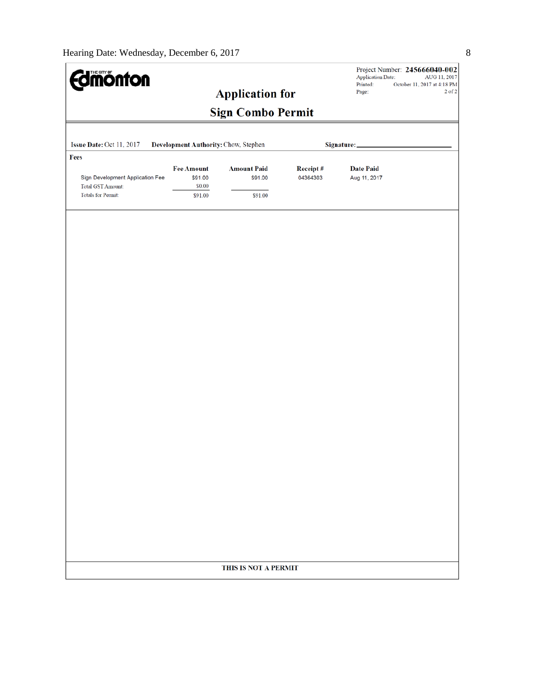| <b>Imónton</b>                                                                            |                                                   | <b>Application for</b>                   |                      | <b>Application Date:</b><br>Printed:<br>Page: | Project Number: 245666040-002<br>AUG 11, 2017<br>October 11, 2017 at 4:18 PM<br>$2$ of $2$ |
|-------------------------------------------------------------------------------------------|---------------------------------------------------|------------------------------------------|----------------------|-----------------------------------------------|--------------------------------------------------------------------------------------------|
|                                                                                           |                                                   | <b>Sign Combo Permit</b>                 |                      |                                               |                                                                                            |
| Issue Date: Oct 11, 2017                                                                  | Development Authority: Chow, Stephen              |                                          |                      | Signature:_                                   |                                                                                            |
| Fees                                                                                      |                                                   |                                          |                      |                                               |                                                                                            |
| Sign Development Application Fee<br><b>Total GST Amount:</b><br><b>Totals for Permit:</b> | <b>Fee Amount</b><br>\$91.00<br>\$0.00<br>\$91.00 | <b>Amount Paid</b><br>\$91.00<br>\$91.00 | Receipt#<br>04364303 | <b>Date Paid</b><br>Aug 11, 2017              |                                                                                            |
|                                                                                           |                                                   |                                          |                      |                                               |                                                                                            |
|                                                                                           |                                                   | THIS IS NOT A PERMIT                     |                      |                                               |                                                                                            |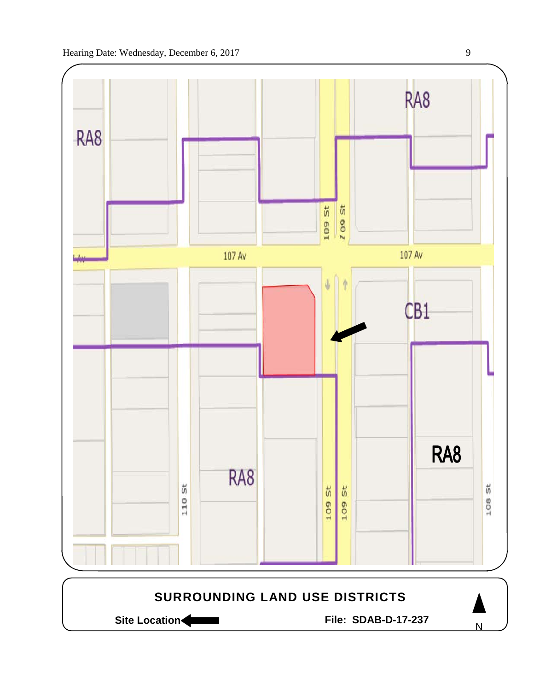

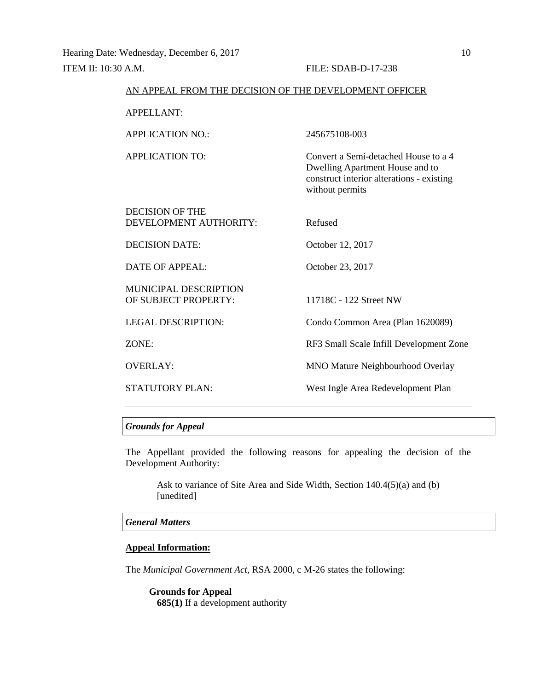| AN APPEAL FROM THE DECISION OF THE DEVELOPMENT OFFICER |                                                                                                                                         |
|--------------------------------------------------------|-----------------------------------------------------------------------------------------------------------------------------------------|
| <b>APPELLANT:</b>                                      |                                                                                                                                         |
| <b>APPLICATION NO.:</b>                                | 245675108-003                                                                                                                           |
| <b>APPLICATION TO:</b>                                 | Convert a Semi-detached House to a 4<br>Dwelling Apartment House and to<br>construct interior alterations - existing<br>without permits |
| <b>DECISION OF THE</b><br>DEVELOPMENT AUTHORITY:       | Refused                                                                                                                                 |
| <b>DECISION DATE:</b>                                  | October 12, 2017                                                                                                                        |
| DATE OF APPEAL:                                        | October 23, 2017                                                                                                                        |
| MUNICIPAL DESCRIPTION<br>OF SUBJECT PROPERTY:          | 11718C - 122 Street NW                                                                                                                  |
| <b>LEGAL DESCRIPTION:</b>                              | Condo Common Area (Plan 1620089)                                                                                                        |
| ZONE:                                                  | RF3 Small Scale Infill Development Zone                                                                                                 |
| <b>OVERLAY:</b>                                        | <b>MNO Mature Neighbourhood Overlay</b>                                                                                                 |
| <b>STATUTORY PLAN:</b>                                 | West Ingle Area Redevelopment Plan                                                                                                      |

## *Grounds for Appeal*

The Appellant provided the following reasons for appealing the decision of the Development Authority:

Ask to variance of Site Area and Side Width, Section 140.4(5)(a) and (b) [unedited]

## *General Matters*

## **Appeal Information:**

The *Municipal Government Act*, RSA 2000, c M-26 states the following:

**Grounds for Appeal 685(1)** If a development authority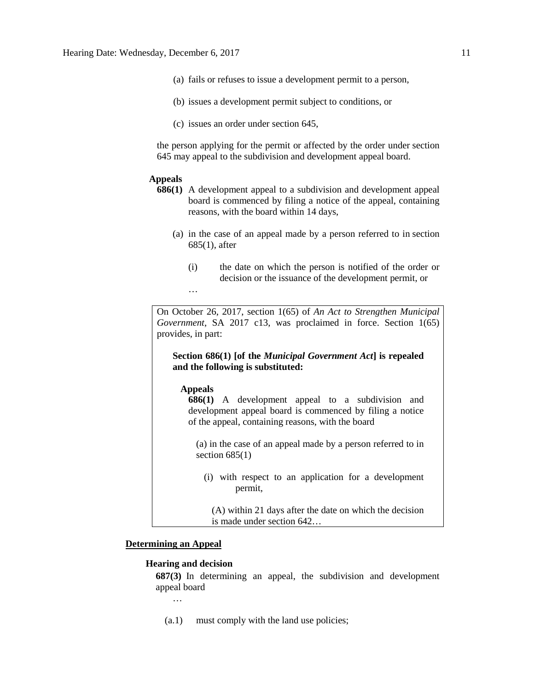- (a) fails or refuses to issue a development permit to a person,
- (b) issues a development permit subject to conditions, or
- (c) issues an order under section 645,

the person applying for the permit or affected by the order under section 645 may appeal to the subdivision and development appeal board.

### **Appeals**

- **686(1)** A development appeal to a subdivision and development appeal board is commenced by filing a notice of the appeal, containing reasons, with the board within 14 days,
	- (a) in the case of an appeal made by a person referred to in section 685(1), after
		- (i) the date on which the person is notified of the order or decision or the issuance of the development permit, or

On October 26, 2017, section 1(65) of *An Act to Strengthen Municipal Government*, SA 2017 c13, was proclaimed in force. Section 1(65) provides, in part:

**Section 686(1) [of the** *Municipal Government Act***] is repealed and the following is substituted:** 

## **Appeals**

…

**686(1)** A development appeal to a subdivision and development appeal board is commenced by filing a notice of the appeal, containing reasons, with the board

(a) in the case of an appeal made by a person referred to in section  $685(1)$ 

(i) with respect to an application for a development permit,

(A) within 21 days after the date on which the decision is made under section 642…

## **Determining an Appeal**

#### **Hearing and decision**

**687(3)** In determining an appeal, the subdivision and development appeal board

…

(a.1) must comply with the land use policies;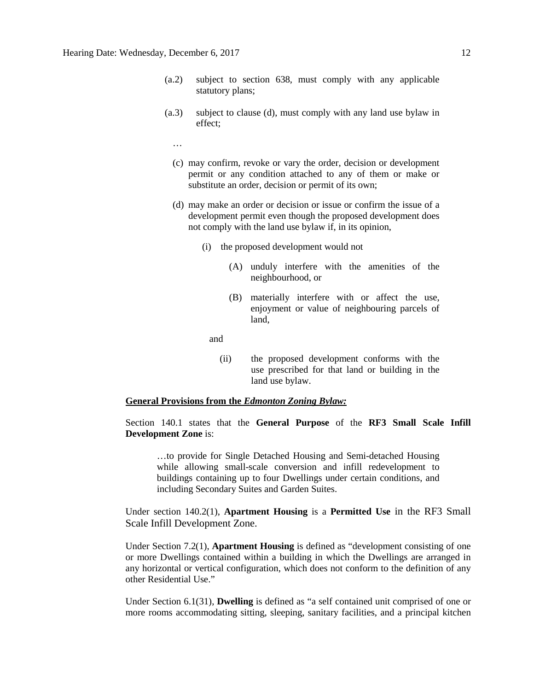- (a.2) subject to section 638, must comply with any applicable statutory plans;
- (a.3) subject to clause (d), must comply with any land use bylaw in effect;
	- …
	- (c) may confirm, revoke or vary the order, decision or development permit or any condition attached to any of them or make or substitute an order, decision or permit of its own;
	- (d) may make an order or decision or issue or confirm the issue of a development permit even though the proposed development does not comply with the land use bylaw if, in its opinion,
		- (i) the proposed development would not
			- (A) unduly interfere with the amenities of the neighbourhood, or
			- (B) materially interfere with or affect the use, enjoyment or value of neighbouring parcels of land,

and

(ii) the proposed development conforms with the use prescribed for that land or building in the land use bylaw.

### **General Provisions from the** *Edmonton Zoning Bylaw:*

Section 140.1 states that the **General Purpose** of the **RF3 Small Scale Infill Development Zone** is:

…to provide for Single Detached Housing and Semi-detached Housing while allowing small-scale conversion and infill redevelopment to buildings containing up to four Dwellings under certain conditions, and including Secondary Suites and Garden Suites.

Under section 140.2(1), **Apartment Housing** is a **Permitted Use** in the RF3 Small Scale Infill Development Zone.

Under Section 7.2(1), **Apartment Housing** is defined as "development consisting of one or more Dwellings contained within a building in which the Dwellings are arranged in any horizontal or vertical configuration, which does not conform to the definition of any other Residential Use."

Under Section 6.1(31), **Dwelling** is defined as "a self contained unit comprised of one or more rooms accommodating sitting, sleeping, sanitary facilities, and a principal kitchen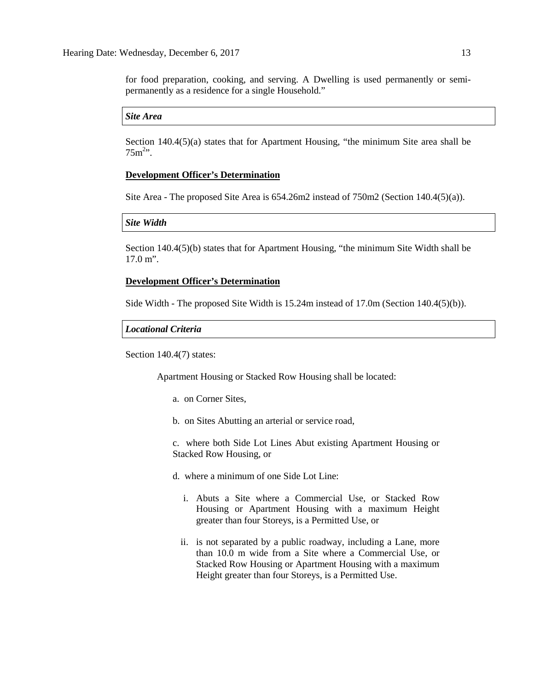for food preparation, cooking, and serving. A Dwelling is used permanently or semipermanently as a residence for a single Household."

## *Site Area*

Section 140.4(5)(a) states that for Apartment Housing, "the minimum Site area shall be  $75m^{2}$ ".

#### **Development Officer's Determination**

Site Area - The proposed Site Area is 654.26m2 instead of 750m2 (Section 140.4(5)(a)).

#### *Site Width*

Section 140.4(5)(b) states that for Apartment Housing, "the minimum Site Width shall be 17.0 m".

### **Development Officer's Determination**

Side Width - The proposed Site Width is 15.24m instead of 17.0m (Section 140.4(5)(b)).

#### *Locational Criteria*

Section 140.4(7) states:

Apartment Housing or Stacked Row Housing shall be located:

- a. on Corner Sites,
- b. on Sites Abutting an arterial or service road,

c. where both Side Lot Lines Abut existing Apartment Housing or Stacked Row Housing, or

- d. where a minimum of one Side Lot Line:
	- i. Abuts a Site where a Commercial Use, or Stacked Row Housing or Apartment Housing with a maximum Height greater than four Storeys, is a Permitted Use, or
	- ii. is not separated by a public roadway, including a Lane, more than 10.0 m wide from a Site where a Commercial Use, or Stacked Row Housing or Apartment Housing with a maximum Height greater than four Storeys, is a Permitted Use.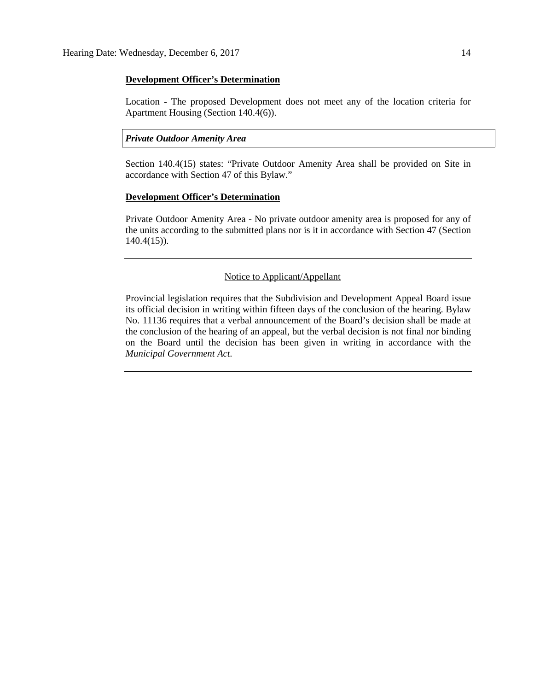#### **Development Officer's Determination**

Location - The proposed Development does not meet any of the location criteria for Apartment Housing (Section 140.4(6)).

### *Private Outdoor Amenity Area*

Section 140.4(15) states: "Private Outdoor Amenity Area shall be provided on Site in accordance with Section 47 of this Bylaw."

## **Development Officer's Determination**

Private Outdoor Amenity Area - No private outdoor amenity area is proposed for any of the units according to the submitted plans nor is it in accordance with Section 47 (Section 140.4(15)).

#### Notice to Applicant/Appellant

Provincial legislation requires that the Subdivision and Development Appeal Board issue its official decision in writing within fifteen days of the conclusion of the hearing. Bylaw No. 11136 requires that a verbal announcement of the Board's decision shall be made at the conclusion of the hearing of an appeal, but the verbal decision is not final nor binding on the Board until the decision has been given in writing in accordance with the *Municipal Government Act.*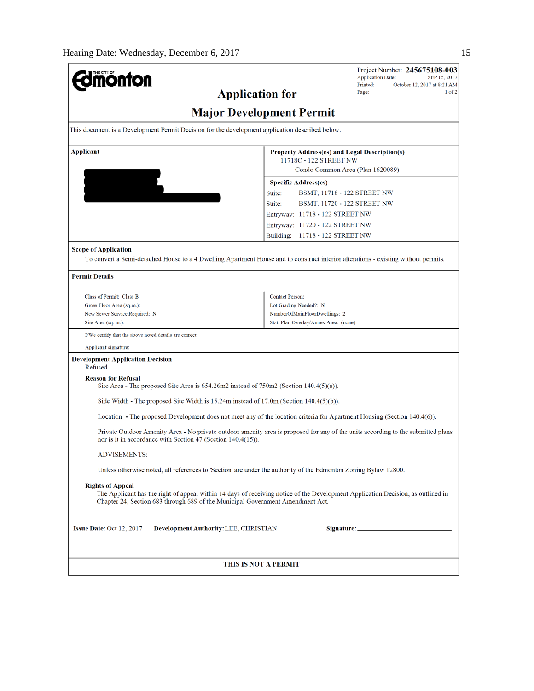| THE CITY OF                                                                                                                                                                                                                                   |                                                                                                                                            | Project Number: 245675108-003<br><b>Application Date:</b><br>SEP 15, 2017 |  |  |  |  |
|-----------------------------------------------------------------------------------------------------------------------------------------------------------------------------------------------------------------------------------------------|--------------------------------------------------------------------------------------------------------------------------------------------|---------------------------------------------------------------------------|--|--|--|--|
|                                                                                                                                                                                                                                               |                                                                                                                                            | Printed:<br>October 12, 2017 at 8:21 AM                                   |  |  |  |  |
| <b>Application for</b>                                                                                                                                                                                                                        |                                                                                                                                            | 1 of 2<br>Page:                                                           |  |  |  |  |
| <b>Major Development Permit</b>                                                                                                                                                                                                               |                                                                                                                                            |                                                                           |  |  |  |  |
| This document is a Development Permit Decision for the development application described below.                                                                                                                                               |                                                                                                                                            |                                                                           |  |  |  |  |
| Applicant                                                                                                                                                                                                                                     | Property Address(es) and Legal Description(s)<br>11718C - 122 STREET NW<br>Condo Common Area (Plan 1620089)<br><b>Specific Address(es)</b> |                                                                           |  |  |  |  |
|                                                                                                                                                                                                                                               |                                                                                                                                            |                                                                           |  |  |  |  |
|                                                                                                                                                                                                                                               |                                                                                                                                            |                                                                           |  |  |  |  |
|                                                                                                                                                                                                                                               |                                                                                                                                            |                                                                           |  |  |  |  |
|                                                                                                                                                                                                                                               | Suite:<br>BSMT, 11718 - 122 STREET NW                                                                                                      |                                                                           |  |  |  |  |
|                                                                                                                                                                                                                                               | Suite:<br>BSMT, 11720 - 122 STREET NW                                                                                                      |                                                                           |  |  |  |  |
|                                                                                                                                                                                                                                               | Entryway: 11718 - 122 STREET NW                                                                                                            |                                                                           |  |  |  |  |
|                                                                                                                                                                                                                                               | Entryway: 11720 - 122 STREET NW                                                                                                            |                                                                           |  |  |  |  |
|                                                                                                                                                                                                                                               | Building: 11718 - 122 STREET NW                                                                                                            |                                                                           |  |  |  |  |
|                                                                                                                                                                                                                                               |                                                                                                                                            |                                                                           |  |  |  |  |
| <b>Scope of Application</b>                                                                                                                                                                                                                   |                                                                                                                                            |                                                                           |  |  |  |  |
| To convert a Semi-detached House to a 4 Dwelling Apartment House and to construct interior alterations - existing without permits.                                                                                                            |                                                                                                                                            |                                                                           |  |  |  |  |
| <b>Permit Details</b>                                                                                                                                                                                                                         |                                                                                                                                            |                                                                           |  |  |  |  |
| Class of Permit: Class B                                                                                                                                                                                                                      | <b>Contact Person:</b>                                                                                                                     |                                                                           |  |  |  |  |
| Gross Floor Area (sq.m.):                                                                                                                                                                                                                     | Lot Grading Needed?: N                                                                                                                     |                                                                           |  |  |  |  |
| New Sewer Service Required: N                                                                                                                                                                                                                 | NumberOfMainFloorDwellings: 2                                                                                                              |                                                                           |  |  |  |  |
| Site Area (sq. m.):                                                                                                                                                                                                                           | Stat. Plan Overlay/Annex Area: (none)                                                                                                      |                                                                           |  |  |  |  |
| I/We certify that the above noted details are correct.                                                                                                                                                                                        |                                                                                                                                            |                                                                           |  |  |  |  |
| Applicant signature:                                                                                                                                                                                                                          |                                                                                                                                            |                                                                           |  |  |  |  |
| <b>Development Application Decision</b><br>Refused                                                                                                                                                                                            |                                                                                                                                            |                                                                           |  |  |  |  |
| <b>Reason for Refusal</b><br>Site Area - The proposed Site Area is $654.26 \text{m}$ instead of $750 \text{m}$ (Section 140.4(5)(a)).                                                                                                         |                                                                                                                                            |                                                                           |  |  |  |  |
| Side Width - The proposed Site Width is $15.24m$ instead of $17.0m$ (Section $140.4(5)(b)$ ).                                                                                                                                                 |                                                                                                                                            |                                                                           |  |  |  |  |
| Location - The proposed Development does not meet any of the location criteria for Apartment Housing (Section 140.4(6)).                                                                                                                      |                                                                                                                                            |                                                                           |  |  |  |  |
| Private Outdoor Amenity Area - No private outdoor amenity area is proposed for any of the units according to the submitted plans<br>nor is it in accordance with Section 47 (Section 140.4(15)).                                              |                                                                                                                                            |                                                                           |  |  |  |  |
| ADVISEMENTS:                                                                                                                                                                                                                                  |                                                                                                                                            |                                                                           |  |  |  |  |
| Unless otherwise noted, all references to 'Section' are under the authority of the Edmonton Zoning Bylaw 12800.                                                                                                                               |                                                                                                                                            |                                                                           |  |  |  |  |
| <b>Rights of Appeal</b><br>The Applicant has the right of appeal within 14 days of receiving notice of the Development Application Decision, as outlined in<br>Chapter 24, Section 683 through 689 of the Municipal Government Amendment Act. |                                                                                                                                            |                                                                           |  |  |  |  |
| <b>Issue Date: Oct 12, 2017</b><br>Development Authority: LEE, CHRISTIAN                                                                                                                                                                      |                                                                                                                                            |                                                                           |  |  |  |  |
| THIS IS NOT A PERMIT                                                                                                                                                                                                                          |                                                                                                                                            |                                                                           |  |  |  |  |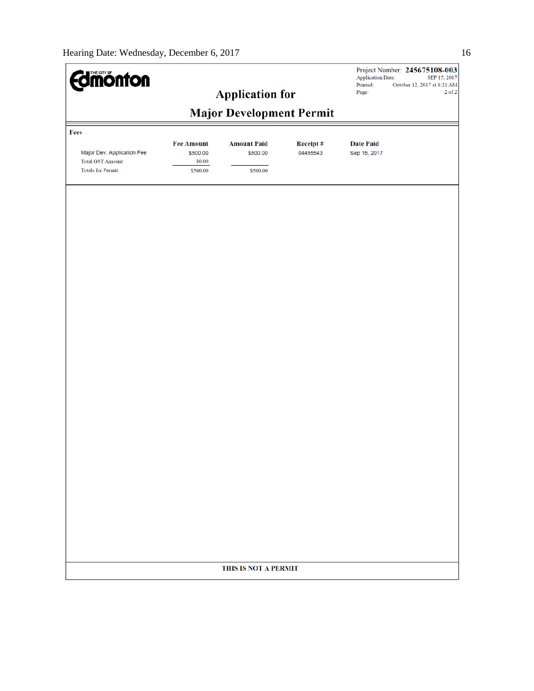| <b>Imónton</b>                                                                      |                                                     | <b>Application for</b>                     |                      | <b>Application Date:</b><br>Printed:<br>Page: | Project Number: 245675108-003<br>SEP 15, 2017<br>October 12, 2017 at 8:21 AM<br>$2$ of $2$ |
|-------------------------------------------------------------------------------------|-----------------------------------------------------|--------------------------------------------|----------------------|-----------------------------------------------|--------------------------------------------------------------------------------------------|
|                                                                                     |                                                     | <b>Major Development Permit</b>            |                      |                                               |                                                                                            |
| Fees                                                                                |                                                     |                                            |                      |                                               |                                                                                            |
| Major Dev. Application Fee<br><b>Total GST Amount:</b><br><b>Totals for Permit:</b> | <b>Fee Amount</b><br>\$500.00<br>\$0.00<br>\$500.00 | <b>Amount Paid</b><br>\$500.00<br>\$500.00 | Receipt#<br>04455543 | <b>Date Paid</b><br>Sep 15, 2017              |                                                                                            |
|                                                                                     |                                                     |                                            |                      |                                               |                                                                                            |
|                                                                                     |                                                     |                                            |                      |                                               |                                                                                            |
|                                                                                     |                                                     |                                            |                      |                                               |                                                                                            |
|                                                                                     |                                                     |                                            |                      |                                               |                                                                                            |
|                                                                                     |                                                     |                                            |                      |                                               |                                                                                            |
|                                                                                     |                                                     |                                            |                      |                                               |                                                                                            |
|                                                                                     |                                                     |                                            |                      |                                               |                                                                                            |
|                                                                                     |                                                     |                                            |                      |                                               |                                                                                            |
|                                                                                     |                                                     |                                            |                      |                                               |                                                                                            |
|                                                                                     |                                                     |                                            |                      |                                               |                                                                                            |
|                                                                                     |                                                     |                                            |                      |                                               |                                                                                            |
|                                                                                     |                                                     |                                            |                      |                                               |                                                                                            |
|                                                                                     |                                                     |                                            |                      |                                               |                                                                                            |
|                                                                                     |                                                     | THIS IS NOT A PERMIT                       |                      |                                               |                                                                                            |